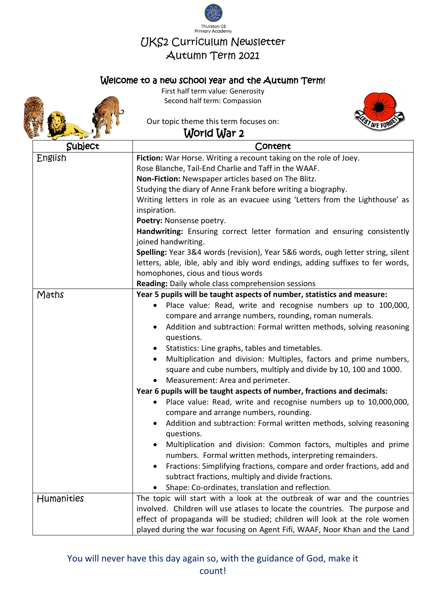

## Welcome to a new school year and the Autumn Term!



First half term value: Generosity Second half term: Compassion

Our topic theme this term focuses on:



## World War 2

| Subject    | Content                                                                                                     |
|------------|-------------------------------------------------------------------------------------------------------------|
| English    | Fiction: War Horse. Writing a recount taking on the role of Joey.                                           |
|            | Rose Blanche, Tail-End Charlie and Taff in the WAAF.                                                        |
|            | Non-Fiction: Newspaper articles based on The Blitz.                                                         |
|            | Studying the diary of Anne Frank before writing a biography.                                                |
|            | Writing letters in role as an evacuee using 'Letters from the Lighthouse' as                                |
|            | inspiration.                                                                                                |
|            | Poetry: Nonsense poetry.                                                                                    |
|            | Handwriting: Ensuring correct letter formation and ensuring consistently                                    |
|            | joined handwriting.                                                                                         |
|            | Spelling: Year 3&4 words (revision), Year 5&6 words, ough letter string, silent                             |
|            | letters, able, ible, ably and ibly word endings, adding suffixes to fer words,                              |
|            | homophones, cious and tious words                                                                           |
|            | <b>Reading:</b> Daily whole class comprehension sessions                                                    |
| Maths      | Year 5 pupils will be taught aspects of number, statistics and measure:                                     |
|            | Place value: Read, write and recognise numbers up to 100,000,<br>$\bullet$                                  |
|            | compare and arrange numbers, rounding, roman numerals.                                                      |
|            | Addition and subtraction: Formal written methods, solving reasoning                                         |
|            | questions.                                                                                                  |
|            | Statistics: Line graphs, tables and timetables.                                                             |
|            | Multiplication and division: Multiples, factors and prime numbers,                                          |
|            | square and cube numbers, multiply and divide by 10, 100 and 1000.                                           |
|            | Measurement: Area and perimeter.<br>Year 6 pupils will be taught aspects of number, fractions and decimals: |
|            | Place value: Read, write and recognise numbers up to 10,000,000,                                            |
|            | compare and arrange numbers, rounding.                                                                      |
|            | Addition and subtraction: Formal written methods, solving reasoning                                         |
|            | questions.                                                                                                  |
|            | Multiplication and division: Common factors, multiples and prime                                            |
|            | numbers. Formal written methods, interpreting remainders.                                                   |
|            | Fractions: Simplifying fractions, compare and order fractions, add and                                      |
|            | subtract fractions, multiply and divide fractions.                                                          |
|            | Shape: Co-ordinates, translation and reflection.                                                            |
| Humanities | The topic will start with a look at the outbreak of war and the countries                                   |
|            | involved. Children will use atlases to locate the countries. The purpose and                                |
|            | effect of propaganda will be studied; children will look at the role women                                  |
|            | played during the war focusing on Agent Fifi, WAAF, Noor Khan and the Land                                  |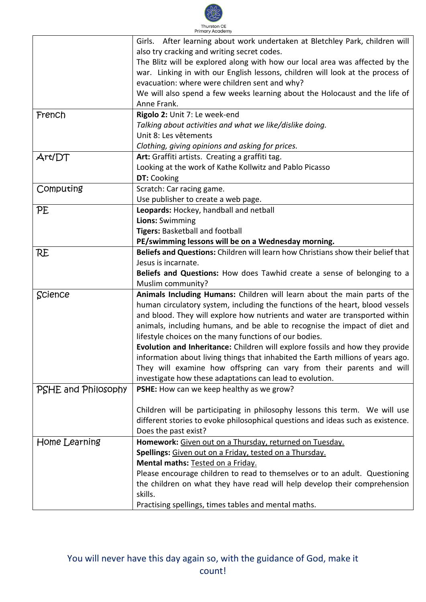

|                     | Girls. After learning about work undertaken at Bletchley Park, children will     |
|---------------------|----------------------------------------------------------------------------------|
|                     | also try cracking and writing secret codes.                                      |
|                     | The Blitz will be explored along with how our local area was affected by the     |
|                     | war. Linking in with our English lessons, children will look at the process of   |
|                     | evacuation: where were children sent and why?                                    |
|                     | We will also spend a few weeks learning about the Holocaust and the life of      |
|                     | Anne Frank.                                                                      |
| French              | Rigolo 2: Unit 7: Le week-end                                                    |
|                     | Talking about activities and what we like/dislike doing.                         |
|                     | Unit 8: Les vêtements                                                            |
|                     | Clothing, giving opinions and asking for prices.                                 |
| Art/DT              | Art: Graffiti artists. Creating a graffiti tag.                                  |
|                     | Looking at the work of Kathe Kollwitz and Pablo Picasso                          |
|                     | DT: Cooking                                                                      |
| Computing           | Scratch: Car racing game.                                                        |
|                     | Use publisher to create a web page.                                              |
| PE                  | Leopards: Hockey, handball and netball                                           |
|                     | Lions: Swimming                                                                  |
|                     | Tigers: Basketball and football                                                  |
|                     | PE/swimming lessons will be on a Wednesday morning.                              |
| RE                  | Beliefs and Questions: Children will learn how Christians show their belief that |
|                     | Jesus is incarnate.                                                              |
|                     | Beliefs and Questions: How does Tawhid create a sense of belonging to a          |
|                     | Muslim community?                                                                |
| Science             | Animals Including Humans: Children will learn about the main parts of the        |
|                     | human circulatory system, including the functions of the heart, blood vessels    |
|                     | and blood. They will explore how nutrients and water are transported within      |
|                     | animals, including humans, and be able to recognise the impact of diet and       |
|                     | lifestyle choices on the many functions of our bodies.                           |
|                     | Evolution and Inheritance: Children will explore fossils and how they provide    |
|                     | information about living things that inhabited the Earth millions of years ago.  |
|                     | They will examine how offspring can vary from their parents and will             |
|                     | investigate how these adaptations can lead to evolution.                         |
| PSHE and Philosophy | PSHE: How can we keep healthy as we grow?                                        |
|                     | Children will be participating in philosophy lessons this term. We will use      |
|                     | different stories to evoke philosophical questions and ideas such as existence.  |
|                     | Does the past exist?                                                             |
| Home Learning       | Homework: Given out on a Thursday, returned on Tuesday.                          |
|                     | Spellings: Given out on a Friday, tested on a Thursday.                          |
|                     | Mental maths: Tested on a Friday.                                                |
|                     | Please encourage children to read to themselves or to an adult. Questioning      |
|                     | the children on what they have read will help develop their comprehension        |
|                     | skills.                                                                          |
|                     | Practising spellings, times tables and mental maths.                             |